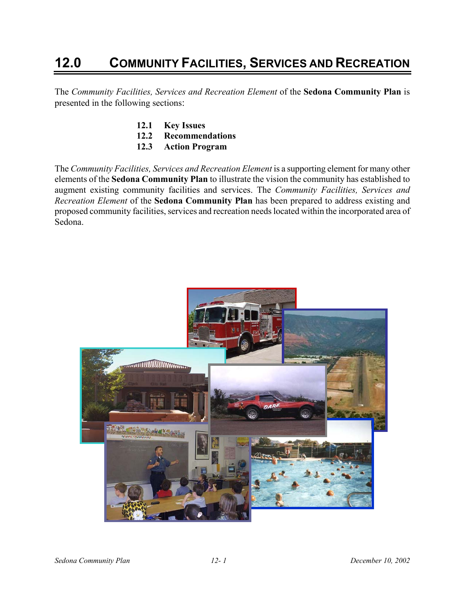# **12.0 COMMUNITY FACILITIES, SERVICES AND RECREATION**

The *Community Facilities, Services and Recreation Element* of the **Sedona Community Plan** is presented in the following sections:

- **12.1 Key Issues**
- **12.2 Recommendations**
- **12.3 Action Program**

The *Community Facilities, Services and Recreation Element* is a supporting element for many other elements of the **Sedona Community Plan** to illustrate the vision the community has established to augment existing community facilities and services. The *Community Facilities, Services and Recreation Element* of the **Sedona Community Plan** has been prepared to address existing and proposed community facilities, services and recreation needs located within the incorporated area of Sedona.

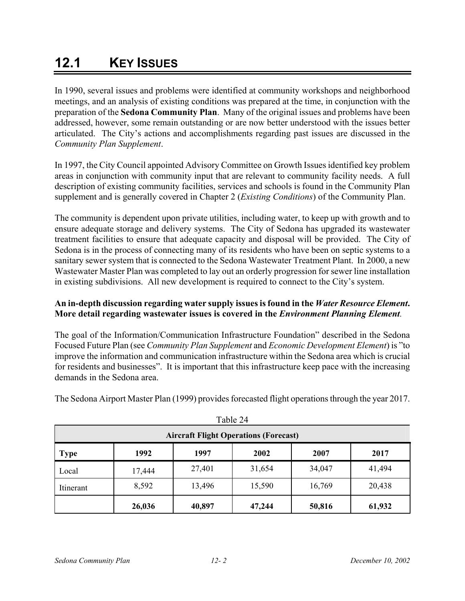## **12.1 KEY ISSUES**

In 1990, several issues and problems were identified at community workshops and neighborhood meetings, and an analysis of existing conditions was prepared at the time, in conjunction with the preparation of the **Sedona Community Plan**. Many of the original issues and problems have been addressed, however, some remain outstanding or are now better understood with the issues better articulated. The City's actions and accomplishments regarding past issues are discussed in the *Community Plan Supplement*.

In 1997, the City Council appointed Advisory Committee on Growth Issues identified key problem areas in conjunction with community input that are relevant to community facility needs. A full description of existing community facilities, services and schools is found in the Community Plan supplement and is generally covered in Chapter 2 (*Existing Conditions*) of the Community Plan.

The community is dependent upon private utilities, including water, to keep up with growth and to ensure adequate storage and delivery systems. The City of Sedona has upgraded its wastewater treatment facilities to ensure that adequate capacity and disposal will be provided. The City of Sedona is in the process of connecting many of its residents who have been on septic systems to a sanitary sewer system that is connected to the Sedona Wastewater Treatment Plant. In 2000, a new Wastewater Master Plan was completed to lay out an orderly progression for sewer line installation in existing subdivisions. All new development is required to connect to the City's system.

#### **An in-depth discussion regarding water supply issues is found in the** *Water Resource Element***. More detail regarding wastewater issues is covered in the** *Environment Planning Element.*

The goal of the Information/Communication Infrastructure Foundation" described in the Sedona Focused Future Plan (see *Community Plan Supplement* and *Economic Development Element*) is "to improve the information and communication infrastructure within the Sedona area which is crucial for residents and businesses". It is important that this infrastructure keep pace with the increasing demands in the Sedona area.

The Sedona Airport Master Plan (1999) provides forecasted flight operations through the year 2017.

| I AVIV 44<br><b>Aircraft Flight Operations (Forecast)</b> |        |        |        |        |        |
|-----------------------------------------------------------|--------|--------|--------|--------|--------|
| <b>Type</b>                                               | 1992   | 1997   | 2002   | 2007   | 2017   |
| Local                                                     | 17,444 | 27,401 | 31,654 | 34,047 | 41,494 |
| Itinerant                                                 | 8,592  | 13,496 | 15,590 | 16,769 | 20,438 |
|                                                           | 26,036 | 40,897 | 47,244 | 50,816 | 61,932 |

 $Table 24$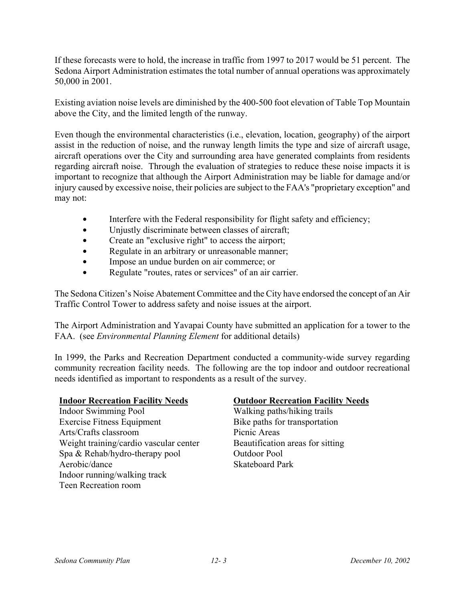If these forecasts were to hold, the increase in traffic from 1997 to 2017 would be 51 percent. The Sedona Airport Administration estimates the total number of annual operations was approximately 50,000 in 2001.

Existing aviation noise levels are diminished by the 400-500 foot elevation of Table Top Mountain above the City, and the limited length of the runway.

Even though the environmental characteristics (i.e., elevation, location, geography) of the airport assist in the reduction of noise, and the runway length limits the type and size of aircraft usage, aircraft operations over the City and surrounding area have generated complaints from residents regarding aircraft noise. Through the evaluation of strategies to reduce these noise impacts it is important to recognize that although the Airport Administration may be liable for damage and/or injury caused by excessive noise, their policies are subject to the FAA's "proprietary exception" and may not:

- $\bullet$  Interfere with the Federal responsibility for flight safety and efficiency;
- Unjustly discriminate between classes of aircraft;
- Create an "exclusive right" to access the airport;
- Regulate in an arbitrary or unreasonable manner;
- Impose an undue burden on air commerce; or
- Regulate "routes, rates or services" of an air carrier.

The Sedona Citizen's Noise Abatement Committee and the City have endorsed the concept of an Air Traffic Control Tower to address safety and noise issues at the airport.

The Airport Administration and Yavapai County have submitted an application for a tower to the FAA. (see *Environmental Planning Element* for additional details)

In 1999, the Parks and Recreation Department conducted a community-wide survey regarding community recreation facility needs. The following are the top indoor and outdoor recreational needs identified as important to respondents as a result of the survey.

#### **Indoor Recreation Facility Needs**

Indoor Swimming Pool Exercise Fitness Equipment Arts/Crafts classroom Weight training/cardio vascular center Spa & Rehab/hydro-therapy pool Aerobic/dance Indoor running/walking track Teen Recreation room

#### **Outdoor Recreation Facility Needs**

Walking paths/hiking trails Bike paths for transportation Picnic Areas Beautification areas for sitting Outdoor Pool Skateboard Park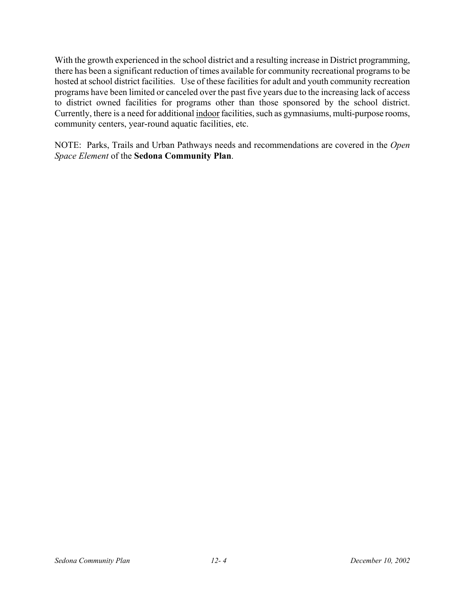With the growth experienced in the school district and a resulting increase in District programming, there has been a significant reduction of times available for community recreational programs to be hosted at school district facilities. Use of these facilities for adult and youth community recreation programs have been limited or canceled over the past five years due to the increasing lack of access to district owned facilities for programs other than those sponsored by the school district. Currently, there is a need for additional indoor facilities, such as gymnasiums, multi-purpose rooms, community centers, year-round aquatic facilities, etc.

NOTE: Parks, Trails and Urban Pathways needs and recommendations are covered in the *Open Space Element* of the **Sedona Community Plan**.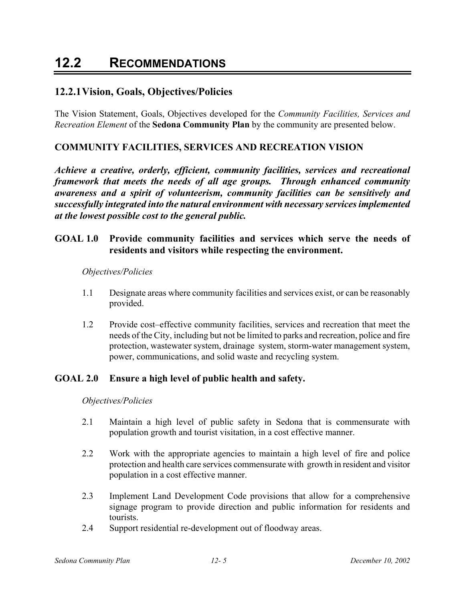## **12.2 RECOMMENDATIONS**

## **12.2.1 Vision, Goals, Objectives/Policies**

The Vision Statement, Goals, Objectives developed for the *Community Facilities, Services and Recreation Element* of the **Sedona Community Plan** by the community are presented below.

### **COMMUNITY FACILITIES, SERVICES AND RECREATION VISION**

*Achieve a creative, orderly, efficient, community facilities, services and recreational framework that meets the needs of all age groups. Through enhanced community awareness and a spirit of volunteerism, community facilities can be sensitively and successfully integrated into the natural environment with necessary services implemented at the lowest possible cost to the general public.* 

### **GOAL 1.0 Provide community facilities and services which serve the needs of residents and visitors while respecting the environment.**

#### *Objectives/Policies*

- 1.1 Designate areas where community facilities and services exist, or can be reasonably provided.
- 1.2 Provide cost–effective community facilities, services and recreation that meet the needs of the City, including but not be limited to parks and recreation, police and fire protection, wastewater system, drainage system, storm-water management system, power, communications, and solid waste and recycling system.

#### **GOAL 2.0 Ensure a high level of public health and safety.**

#### *Objectives/Policies*

- 2.1 Maintain a high level of public safety in Sedona that is commensurate with population growth and tourist visitation, in a cost effective manner.
- 2.2 Work with the appropriate agencies to maintain a high level of fire and police protection and health care services commensurate with growth in resident and visitor population in a cost effective manner.
- 2.3 Implement Land Development Code provisions that allow for a comprehensive signage program to provide direction and public information for residents and tourists.
- 2.4 Support residential re-development out of floodway areas.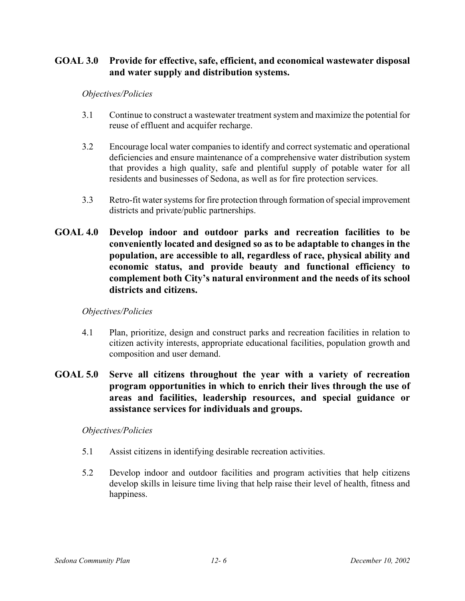## **GOAL 3.0 Provide for effective, safe, efficient, and economical wastewater disposal and water supply and distribution systems.**

#### *Objectives/Policies*

- 3.1 Continue to construct a wastewater treatment system and maximize the potential for reuse of effluent and acquifer recharge.
- 3.2 Encourage local water companies to identify and correct systematic and operational deficiencies and ensure maintenance of a comprehensive water distribution system that provides a high quality, safe and plentiful supply of potable water for all residents and businesses of Sedona, as well as for fire protection services.
- 3.3 Retro-fit water systems for fire protection through formation of special improvement districts and private/public partnerships.
- **GOAL 4.0 Develop indoor and outdoor parks and recreation facilities to be conveniently located and designed so as to be adaptable to changes in the population, are accessible to all, regardless of race, physical ability and economic status, and provide beauty and functional efficiency to complement both City's natural environment and the needs of its school districts and citizens.**

#### *Objectives/Policies*

- 4.1 Plan, prioritize, design and construct parks and recreation facilities in relation to citizen activity interests, appropriate educational facilities, population growth and composition and user demand.
- **GOAL 5.0 Serve all citizens throughout the year with a variety of recreation program opportunities in which to enrich their lives through the use of areas and facilities, leadership resources, and special guidance or assistance services for individuals and groups.**

#### *Objectives/Policies*

- 5.1 Assist citizens in identifying desirable recreation activities.
- 5.2 Develop indoor and outdoor facilities and program activities that help citizens develop skills in leisure time living that help raise their level of health, fitness and happiness.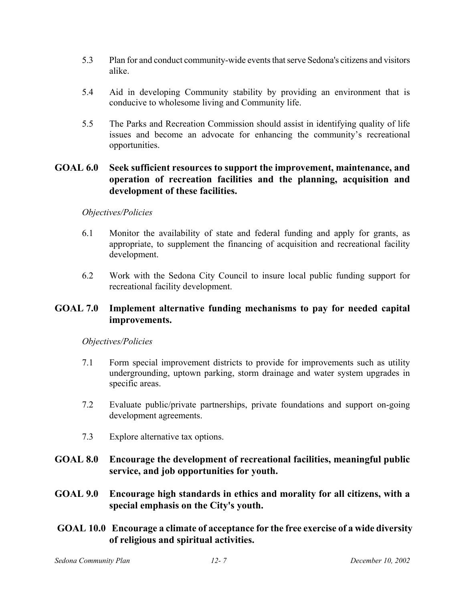- 5.3 Plan for and conduct community-wide events that serve Sedona's citizens and visitors alike.
- 5.4 Aid in developing Community stability by providing an environment that is conducive to wholesome living and Community life.
- 5.5 The Parks and Recreation Commission should assist in identifying quality of life issues and become an advocate for enhancing the community's recreational opportunities.

## **GOAL 6.0 Seek sufficient resources to support the improvement, maintenance, and operation of recreation facilities and the planning, acquisition and development of these facilities.**

#### *Objectives/Policies*

- 6.1 Monitor the availability of state and federal funding and apply for grants, as appropriate, to supplement the financing of acquisition and recreational facility development.
- 6.2 Work with the Sedona City Council to insure local public funding support for recreational facility development.

## **GOAL 7.0 Implement alternative funding mechanisms to pay for needed capital improvements.**

#### *Objectives/Policies*

- 7.1 Form special improvement districts to provide for improvements such as utility undergrounding, uptown parking, storm drainage and water system upgrades in specific areas.
- 7.2 Evaluate public/private partnerships, private foundations and support on-going development agreements.
- 7.3 Explore alternative tax options.
- **GOAL 8.0 Encourage the development of recreational facilities, meaningful public service, and job opportunities for youth.**
- **GOAL 9.0 Encourage high standards in ethics and morality for all citizens, with a special emphasis on the City's youth.**
- **GOAL 10.0 Encourage a climate of acceptance for the free exercise of a wide diversity of religious and spiritual activities.**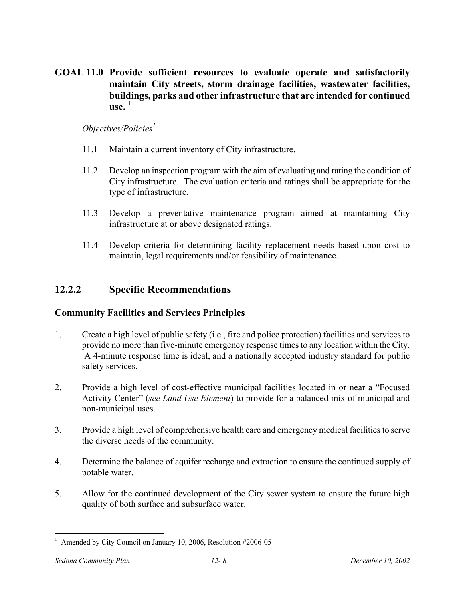**GOAL 11.0 Provide sufficient resources to evaluate operate and satisfactorily maintain City streets, storm drainage facilities, wastewater facilities, buildings, parks and other infrastructure that are intended for continued**   $\mathbf{u}$ se  $^{-1}$ 

#### *Objectives/Policies*<sup>1</sup>

- 11.1 Maintain a current inventory of City infrastructure.
- 11.2 Develop an inspection program with the aim of evaluating and rating the condition of City infrastructure. The evaluation criteria and ratings shall be appropriate for the type of infrastructure.
- 11.3 Develop a preventative maintenance program aimed at maintaining City infrastructure at or above designated ratings.
- 11.4 Develop criteria for determining facility replacement needs based upon cost to maintain, legal requirements and/or feasibility of maintenance.

## **12.2.2 Specific Recommendations**

## **Community Facilities and Services Principles**

- 1. Create a high level of public safety (i.e., fire and police protection) facilities and services to provide no more than five-minute emergency response times to any location within the City. A 4-minute response time is ideal, and a nationally accepted industry standard for public safety services.
- 2. Provide a high level of cost-effective municipal facilities located in or near a "Focused Activity Center" (*see Land Use Element*) to provide for a balanced mix of municipal and non-municipal uses.
- 3. Provide a high level of comprehensive health care and emergency medical facilities to serve the diverse needs of the community.
- 4. Determine the balance of aquifer recharge and extraction to ensure the continued supply of potable water.
- 5. Allow for the continued development of the City sewer system to ensure the future high quality of both surface and subsurface water.

 $\overline{a}$ <sup>1</sup> Amended by City Council on January 10, 2006, Resolution #2006-05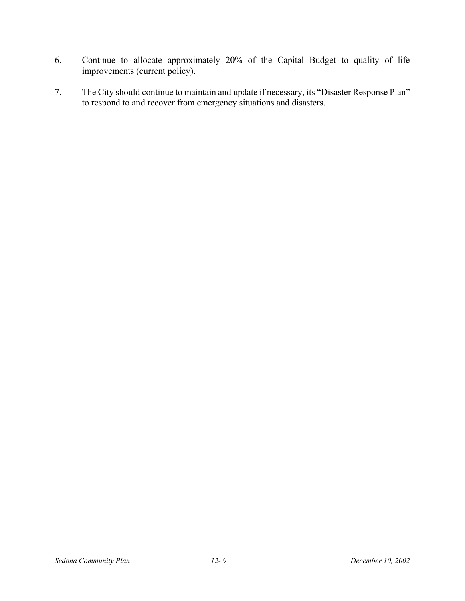- 6. Continue to allocate approximately 20% of the Capital Budget to quality of life improvements (current policy).
- 7. The City should continue to maintain and update if necessary, its "Disaster Response Plan" to respond to and recover from emergency situations and disasters.